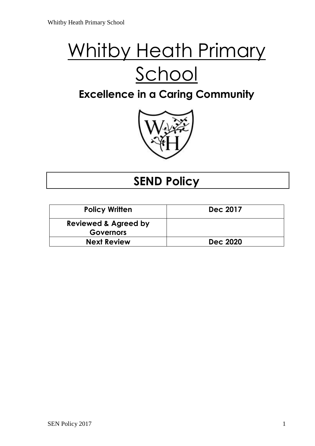# Whitby Heath Primary School

# **Excellence in a Caring Community**



## **SEND Policy**

| <b>Policy Written</b>           | <b>Dec 2017</b> |
|---------------------------------|-----------------|
| <b>Reviewed &amp; Agreed by</b> |                 |
| <b>Governors</b>                |                 |
| <b>Next Review</b>              | <b>Dec 2020</b> |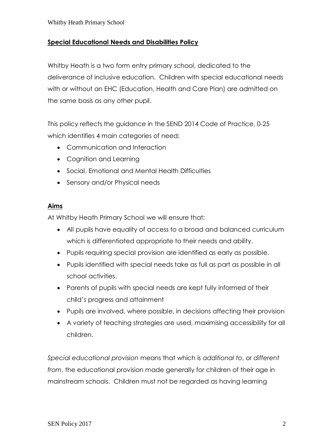#### **Special Educational Needs and Disabilities Policy**

Whitby Heath is a two form entry primary school, dedicated to the deliverance of inclusive education. Children with special educational needs with or without an EHC (Education, Health and Care Plan) are admitted on the same basis as any other pupil.

This policy reflects the guidance in the SEND 2014 Code of Practice, 0-25 which identifies 4 main categories of need:

- Communication and Interaction
- Cognition and Learning
- Social, Emotional and Mental Health Difficulties
- Sensory and/or Physical needs

#### **Aims**

At Whitby Heath Primary School we will ensure that:

- All pupils have equality of access to a broad and balanced curriculum which is differentiated appropriate to their needs and ability.
- Pupils requiring special provision are identified as early as possible.
- Pupils identified with special needs take as full as part as possible in all school activities.
- Parents of pupils with special needs are kept fully informed of their child's progress and attainment
- Pupils are involved, where possible, in decisions affecting their provision
- A variety of teaching strategies are used, maximising accessibility for all children.

*Special educational provision* means that which is *additional to*, or *different from*, the educational provision made generally for children of their age in mainstream schools. Children must not be regarded as having learning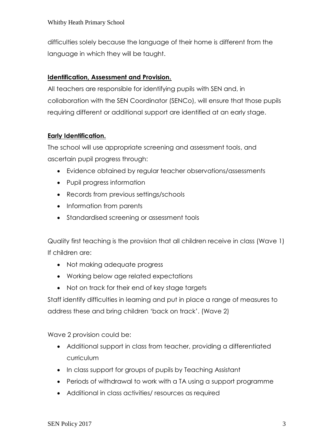difficulties solely because the language of their home is different from the language in which they will be taught.

#### **Identification, Assessment and Provision.**

All teachers are responsible for identifying pupils with SEN and, in collaboration with the SEN Coordinator (SENCo), will ensure that those pupils requiring different or additional support are identified at an early stage.

#### **Early Identification.**

The school will use appropriate screening and assessment tools, and ascertain pupil progress through:

- Evidence obtained by regular teacher observations/assessments
- Pupil progress information
- Records from previous settings/schools
- Information from parents
- Standardised screening or assessment tools

Quality first teaching is the provision that all children receive in class (Wave 1) If children are:

- Not making adequate progress
- Working below age related expectations
- Not on track for their end of key stage targets

Staff identify difficulties in learning and put in place a range of measures to address these and bring children 'back on track'. (Wave 2)

Wave 2 provision could be:

- Additional support in class from teacher, providing a differentiated curriculum
- In class support for groups of pupils by Teaching Assistant
- Periods of withdrawal to work with a TA using a support programme
- Additional in class activities/ resources as required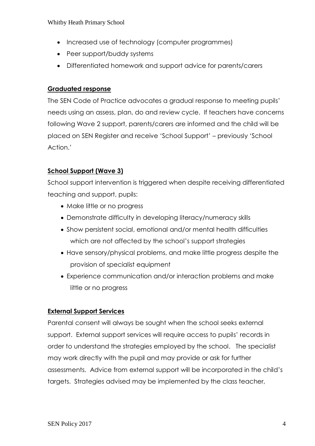#### Whitby Heath Primary School

- Increased use of technology (computer programmes)
- Peer support/buddy systems
- Differentiated homework and support advice for parents/carers

#### **Graduated response**

The SEN Code of Practice advocates a gradual response to meeting pupils' needs using an assess, plan, do and review cycle. If teachers have concerns following Wave 2 support, parents/carers are informed and the child will be placed on SEN Register and receive 'School Support' – previously 'School Action.'

#### **School Support (Wave 3)**

School support intervention is triggered when despite receiving differentiated teaching and support, pupils:

- Make little or no progress
- Demonstrate difficulty in developing literacy/numeracy skills
- Show persistent social, emotional and/or mental health difficulties which are not affected by the school's support strategies
- Have sensory/physical problems, and make little progress despite the provision of specialist equipment
- Experience communication and/or interaction problems and make little or no progress

#### **External Support Services**

Parental consent will always be sought when the school seeks external support. External support services will require access to pupils' records in order to understand the strategies employed by the school. The specialist may work directly with the pupil and may provide or ask for further assessments. Advice from external support will be incorporated in the child's targets. Strategies advised may be implemented by the class teacher,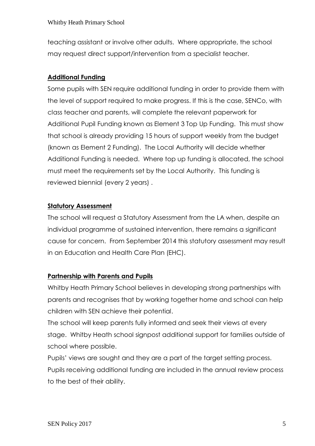teaching assistant or involve other adults. Where appropriate, the school may request direct support/intervention from a specialist teacher.

## **Additional Funding**

Some pupils with SEN require additional funding in order to provide them with the level of support required to make progress. If this is the case, SENCo, with class teacher and parents, will complete the relevant paperwork for Additional Pupil Funding known as Element 3 Top Up Funding. This must show that school is already providing 15 hours of support weekly from the budget (known as Element 2 Funding). The Local Authority will decide whether Additional Funding is needed. Where top up funding is allocated, the school must meet the requirements set by the Local Authority. This funding is reviewed biennial (every 2 years) .

### **Statutory Assessment**

The school will request a Statutory Assessment from the LA when, despite an individual programme of sustained intervention, there remains a significant cause for concern. From September 2014 this statutory assessment may result in an Education and Health Care Plan (EHC).

### **Partnership with Parents and Pupils**

Whitby Heath Primary School believes in developing strong partnerships with parents and recognises that by working together home and school can help children with SEN achieve their potential.

The school will keep parents fully informed and seek their views at every stage. Whitby Heath school signpost additional support for families outside of school where possible.

Pupils' views are sought and they are a part of the target setting process. Pupils receiving additional funding are included in the annual review process to the best of their ability.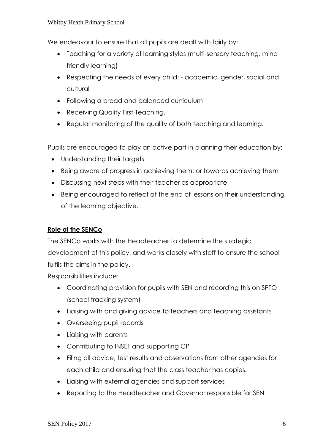#### Whitby Heath Primary School

We endeavour to ensure that all pupils are dealt with fairly by:

- Teaching for a variety of learning styles (multi-sensory teaching, mind friendly learning)
- Respecting the needs of every child: academic, gender, social and cultural
- Following a broad and balanced curriculum
- Receiving Quality First Teaching.
- Regular monitoring of the quality of both teaching and learning.

Pupils are encouraged to play an active part in planning their education by:

- Understanding their targets
- Being aware of progress in achieving them, or towards achieving them
- Discussing next steps with their teacher as appropriate
- Being encouraged to reflect at the end of lessons on their understanding of the learning objective.

#### **Role of the SENCo**

The SENCo works with the Headteacher to determine the strategic development of this policy, and works closely with staff to ensure the school fulfils the aims in the policy.

Responsibilities include:

- Coordinating provision for pupils with SEN and recording this on SPTO (school tracking system)
- Liaising with and giving advice to teachers and teaching assistants
- Overseeing pupil records
- Liaising with parents
- Contributing to INSET and supporting CP
- Filing all advice, test results and observations from other agencies for each child and ensuring that the class teacher has copies.
- Liaising with external agencies and support services
- Reporting to the Headteacher and Governor responsible for SEN